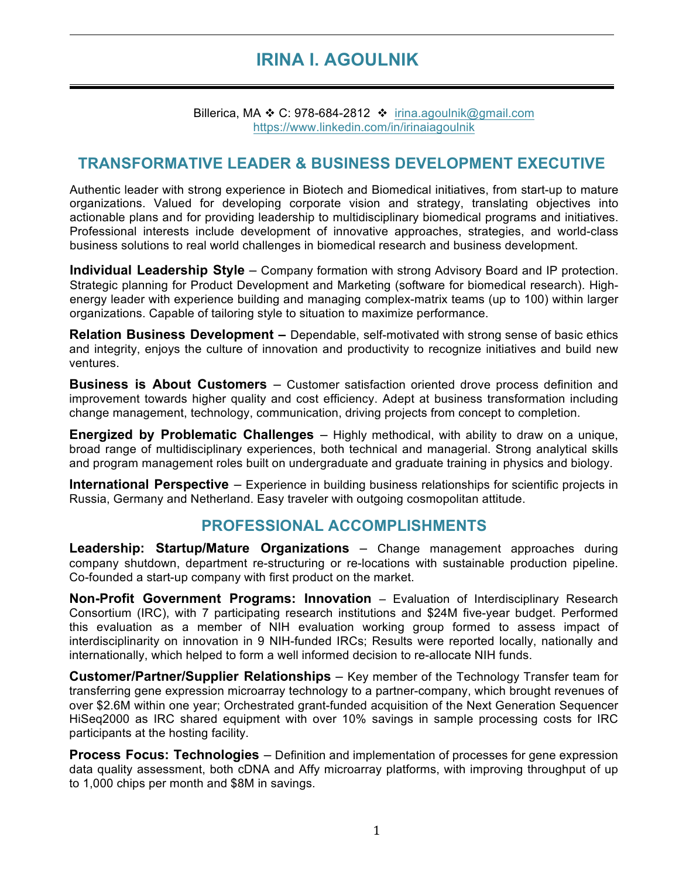# **IRINA I. AGOULNIK**

Ī

Billerica, MA  $\div$  C: 978-684-2812  $\div$  irina.agoulnik@gmail.com https://www.linkedin.com/in/irinaiagoulnik

# **TRANSFORMATIVE LEADER & BUSINESS DEVELOPMENT EXECUTIVE**

Authentic leader with strong experience in Biotech and Biomedical initiatives, from start-up to mature organizations. Valued for developing corporate vision and strategy, translating objectives into actionable plans and for providing leadership to multidisciplinary biomedical programs and initiatives. Professional interests include development of innovative approaches, strategies, and world-class business solutions to real world challenges in biomedical research and business development.

**Individual Leadership Style** – Company formation with strong Advisory Board and IP protection. Strategic planning for Product Development and Marketing (software for biomedical research). Highenergy leader with experience building and managing complex-matrix teams (up to 100) within larger organizations. Capable of tailoring style to situation to maximize performance.

**Relation Business Development –** Dependable, self-motivated with strong sense of basic ethics and integrity, enjoys the culture of innovation and productivity to recognize initiatives and build new ventures.

**Business is About Customers** – Customer satisfaction oriented drove process definition and improvement towards higher quality and cost efficiency. Adept at business transformation including change management, technology, communication, driving projects from concept to completion.

**Energized by Problematic Challenges** – Highly methodical, with ability to draw on a unique, broad range of multidisciplinary experiences, both technical and managerial. Strong analytical skills and program management roles built on undergraduate and graduate training in physics and biology.

**International Perspective** – Experience in building business relationships for scientific projects in Russia, Germany and Netherland. Easy traveler with outgoing cosmopolitan attitude.

# **PROFESSIONAL ACCOMPLISHMENTS**

**Leadership: Startup/Mature Organizations** – Change management approaches during company shutdown, department re-structuring or re-locations with sustainable production pipeline. Co-founded a start-up company with first product on the market.

**Non-Profit Government Programs: Innovation** – Evaluation of Interdisciplinary Research Consortium (IRC), with 7 participating research institutions and \$24M five-year budget. Performed this evaluation as a member of NIH evaluation working group formed to assess impact of interdisciplinarity on innovation in 9 NIH-funded IRCs; Results were reported locally, nationally and internationally, which helped to form a well informed decision to re-allocate NIH funds.

**Customer/Partner/Supplier Relationships** – Key member of the Technology Transfer team for transferring gene expression microarray technology to a partner-company, which brought revenues of over \$2.6M within one year; Orchestrated grant-funded acquisition of the Next Generation Sequencer HiSeq2000 as IRC shared equipment with over 10% savings in sample processing costs for IRC participants at the hosting facility.

**Process Focus: Technologies** – Definition and implementation of processes for gene expression data quality assessment, both cDNA and Affy microarray platforms, with improving throughput of up to 1,000 chips per month and \$8M in savings.